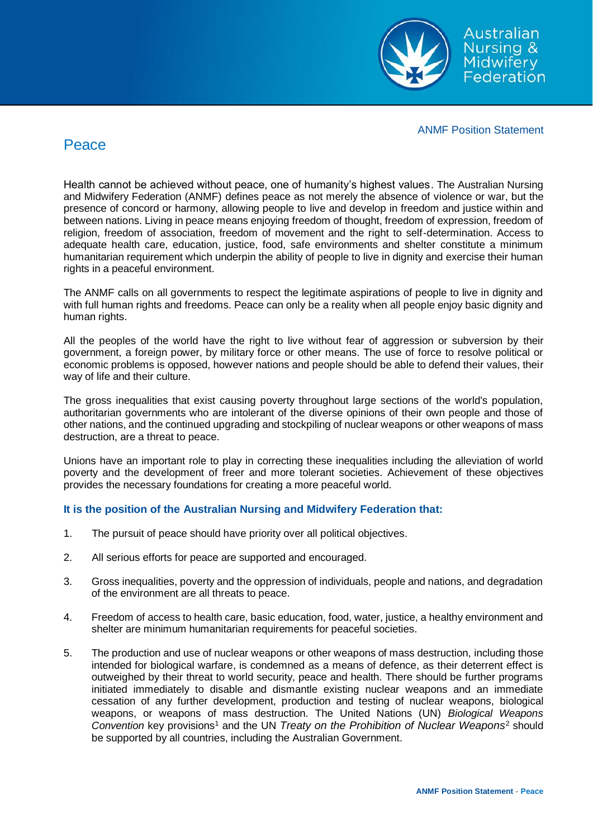

ANMF Position Statement

## Peace

Health cannot be achieved without peace, one of humanity's highest values. The Australian Nursing and Midwifery Federation (ANMF) defines peace as not merely the absence of violence or war, but the presence of concord or harmony, allowing people to live and develop in freedom and justice within and between nations. Living in peace means enjoying freedom of thought, freedom of expression, freedom of religion, freedom of association, freedom of movement and the right to self-determination. Access to adequate health care, education, justice, food, safe environments and shelter constitute a minimum humanitarian requirement which underpin the ability of people to live in dignity and exercise their human rights in a peaceful environment.

The ANMF calls on all governments to respect the legitimate aspirations of people to live in dignity and with full human rights and freedoms. Peace can only be a reality when all people enjoy basic dignity and human rights.

All the peoples of the world have the right to live without fear of aggression or subversion by their government, a foreign power, by military force or other means. The use of force to resolve political or economic problems is opposed, however nations and people should be able to defend their values, their way of life and their culture.

The gross inequalities that exist causing poverty throughout large sections of the world's population, authoritarian governments who are intolerant of the diverse opinions of their own people and those of other nations, and the continued upgrading and stockpiling of nuclear weapons or other weapons of mass destruction, are a threat to peace.

Unions have an important role to play in correcting these inequalities including the alleviation of world poverty and the development of freer and more tolerant societies. Achievement of these objectives provides the necessary foundations for creating a more peaceful world.

## **It is the position of the Australian Nursing and Midwifery Federation that:**

- 1. The pursuit of peace should have priority over all political objectives.
- 2. All serious efforts for peace are supported and encouraged.
- 3. Gross inequalities, poverty and the oppression of individuals, people and nations, and degradation of the environment are all threats to peace.
- 4. Freedom of access to health care, basic education, food, water, justice, a healthy environment and shelter are minimum humanitarian requirements for peaceful societies.
- 5. The production and use of nuclear weapons or other weapons of mass destruction, including those intended for biological warfare, is condemned as a means of defence, as their deterrent effect is outweighed by their threat to world security, peace and health. There should be further programs initiated immediately to disable and dismantle existing nuclear weapons and an immediate cessation of any further development, production and testing of nuclear weapons, biological weapons, or weapons of mass destruction. The United Nations (UN) *Biological Weapons Convention* key provisions<sup>1</sup> and the UN *Treaty on the Prohibition of Nuclear Weapons*<sup>2</sup> should be supported by all countries, including the Australian Government.